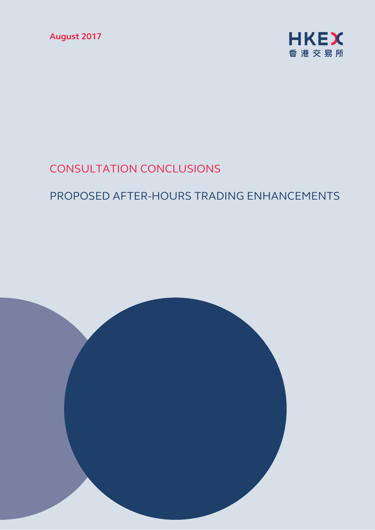**August 2017** 



# CONSULTATION CONCLUSIONS

# PROPOSED AFTER-HOURS TRADING ENHANCEMENTS

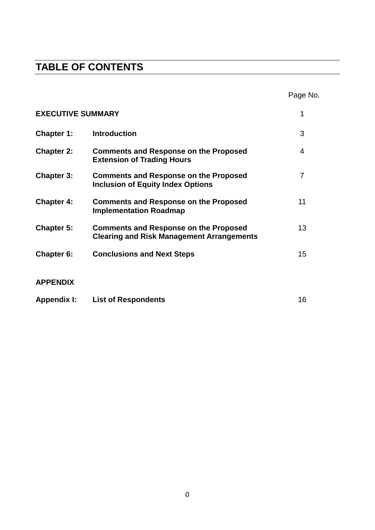## **TABLE OF CONTENTS**

|                          |                                                                                                  | Page No. |
|--------------------------|--------------------------------------------------------------------------------------------------|----------|
| <b>EXECUTIVE SUMMARY</b> |                                                                                                  | 1        |
| <b>Chapter 1:</b>        | <b>Introduction</b>                                                                              | 3        |
| <b>Chapter 2:</b>        | <b>Comments and Response on the Proposed</b><br><b>Extension of Trading Hours</b>                | 4        |
| <b>Chapter 3:</b>        | <b>Comments and Response on the Proposed</b><br><b>Inclusion of Equity Index Options</b>         | 7        |
| <b>Chapter 4:</b>        | <b>Comments and Response on the Proposed</b><br><b>Implementation Roadmap</b>                    | 11       |
| <b>Chapter 5:</b>        | <b>Comments and Response on the Proposed</b><br><b>Clearing and Risk Management Arrangements</b> | 13       |
| Chapter 6:               | <b>Conclusions and Next Steps</b>                                                                | 15       |
| <b>APPENDIX</b>          |                                                                                                  |          |
| <b>Appendix I:</b>       | <b>List of Respondents</b>                                                                       | 16       |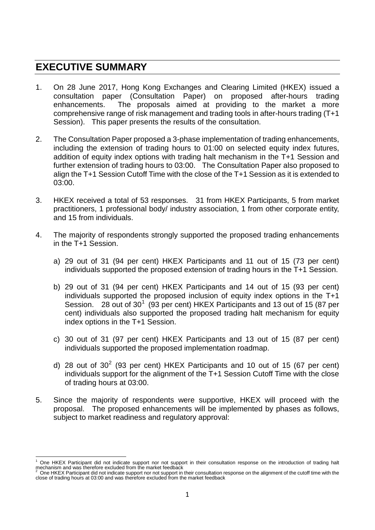### **EXECUTIVE SUMMARY**

- 1. On 28 June 2017, Hong Kong Exchanges and Clearing Limited (HKEX) issued a consultation paper (Consultation Paper) on proposed after-hours trading enhancements. The proposals aimed at providing to the market a more comprehensive range of risk management and trading tools in after-hours trading (T+1 Session). This paper presents the results of the consultation.
- 2. The Consultation Paper proposed a 3-phase implementation of trading enhancements, including the extension of trading hours to 01:00 on selected equity index futures, addition of equity index options with trading halt mechanism in the T+1 Session and further extension of trading hours to 03:00. The Consultation Paper also proposed to align the T+1 Session Cutoff Time with the close of the T+1 Session as it is extended to 03:00.
- 3. HKEX received a total of 53 responses. 31 from HKEX Participants, 5 from market practitioners, 1 professional body/ industry association, 1 from other corporate entity, and 15 from individuals.
- 4. The majority of respondents strongly supported the proposed trading enhancements in the T+1 Session.
	- a) 29 out of 31 (94 per cent) HKEX Participants and 11 out of 15 (73 per cent) individuals supported the proposed extension of trading hours in the T+1 Session.
	- b) 29 out of 31 (94 per cent) HKEX Participants and 14 out of 15 (93 per cent) individuals supported the proposed inclusion of equity index options in the T+1 Session. 28 out of  $30^1$  $30^1$  (93 per cent) HKEX Participants and 13 out of 15 (87 per cent) individuals also supported the proposed trading halt mechanism for equity index options in the T+1 Session.
	- c) 30 out of 31 (97 per cent) HKEX Participants and 13 out of 15 (87 per cent) individuals supported the proposed implementation roadmap.
	- d) [2](#page-2-1)8 out of  $30^2$  (93 per cent) HKEX Participants and 10 out of 15 (67 per cent) individuals support for the alignment of the T+1 Session Cutoff Time with the close of trading hours at 03:00.
- 5. Since the majority of respondents were supportive, HKEX will proceed with the proposal. The proposed enhancements will be implemented by phases as follows, subject to market readiness and regulatory approval:

<span id="page-2-0"></span><sup>1</sup> One HKEX Participant did not indicate support nor not support in their consultation response on the introduction of trading halt mechanism and was therefore excluded from the market feedback  $\frac{1}{2}$ 

<span id="page-2-1"></span> $2$  One HKEX Participant did not indicate support nor not support in their consultation response on the alignment of the cutoff time with the close of trading hours at 03:00 and was therefore excluded from the market feed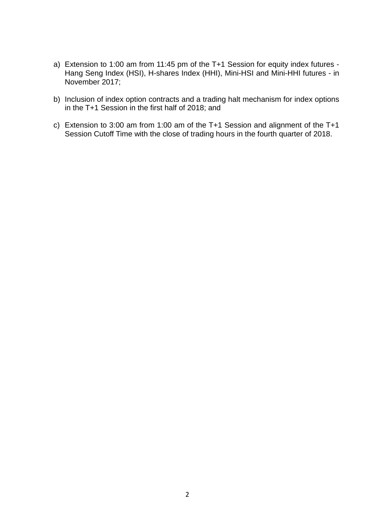- a) Extension to 1:00 am from 11:45 pm of the T+1 Session for equity index futures Hang Seng Index (HSI), H-shares Index (HHI), Mini-HSI and Mini-HHI futures - in November 2017;
- b) Inclusion of index option contracts and a trading halt mechanism for index options in the T+1 Session in the first half of 2018; and
- c) Extension to 3:00 am from 1:00 am of the T+1 Session and alignment of the T+1 Session Cutoff Time with the close of trading hours in the fourth quarter of 2018.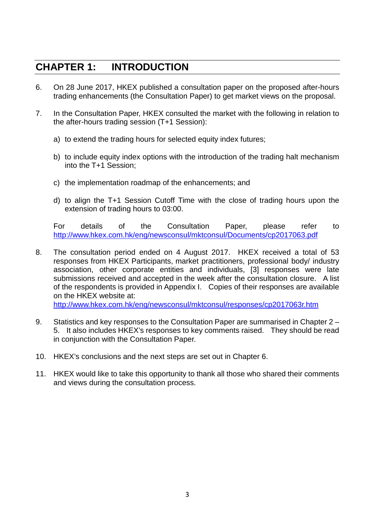## **CHAPTER 1: INTRODUCTION**

- 6. On 28 June 2017, HKEX published a consultation paper on the proposed after-hours trading enhancements (the Consultation Paper) to get market views on the proposal.
- 7. In the Consultation Paper, HKEX consulted the market with the following in relation to the after-hours trading session (T+1 Session):
	- a) to extend the trading hours for selected equity index futures;
	- b) to include equity index options with the introduction of the trading halt mechanism into the T+1 Session;
	- c) the implementation roadmap of the enhancements; and
	- d) to align the T+1 Session Cutoff Time with the close of trading hours upon the extension of trading hours to 03:00.

For details of the Consultation Paper, please refer to <http://www.hkex.com.hk/eng/newsconsul/mktconsul/Documents/cp2017063.pdf>

8. The consultation period ended on 4 August 2017. HKEX received a total of 53 responses from HKEX Participants, market practitioners, professional body/ industry association, other corporate entities and individuals, [3] responses were late submissions received and accepted in the week after the consultation closure. A list of the respondents is provided in Appendix I. Copies of their responses are available on the HKEX website at:

<http://www.hkex.com.hk/eng/newsconsul/mktconsul/responses/cp2017063r.htm>

- 9. Statistics and key responses to the Consultation Paper are summarised in Chapter 2 5. It also includes HKEX's responses to key comments raised. They should be read in conjunction with the Consultation Paper.
- 10. HKEX's conclusions and the next steps are set out in Chapter 6.
- 11. HKEX would like to take this opportunity to thank all those who shared their comments and views during the consultation process.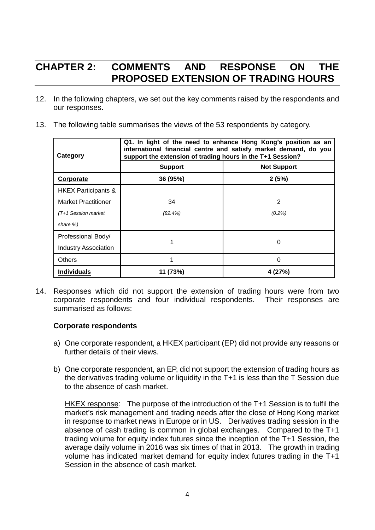## **CHAPTER 2: COMMENTS AND RESPONSE ON THE PROPOSED EXTENSION OF TRADING HOURS**

- 12. In the following chapters, we set out the key comments raised by the respondents and our responses.
- 13. The following table summarises the views of the 53 respondents by category.

| Category                       | Q1. In light of the need to enhance Hong Kong's position as an<br>international financial centre and satisfy market demand, do you<br>support the extension of trading hours in the T+1 Session? |                    |  |
|--------------------------------|--------------------------------------------------------------------------------------------------------------------------------------------------------------------------------------------------|--------------------|--|
|                                | <b>Support</b>                                                                                                                                                                                   | <b>Not Support</b> |  |
| Corporate                      | 36 (95%)                                                                                                                                                                                         | 2(5%)              |  |
| <b>HKEX Participants &amp;</b> |                                                                                                                                                                                                  |                    |  |
| <b>Market Practitioner</b>     | 34                                                                                                                                                                                               | 2                  |  |
| $(T+1)$ Session market         | $(82.4\%)$                                                                                                                                                                                       | $(0.2\%)$          |  |
| share %)                       |                                                                                                                                                                                                  |                    |  |
| Professional Body/             |                                                                                                                                                                                                  |                    |  |
| Industry Association           |                                                                                                                                                                                                  | 0                  |  |
| <b>Others</b>                  |                                                                                                                                                                                                  | 0                  |  |
| <b>Individuals</b>             | 11 (73%)                                                                                                                                                                                         | 4 (27%)            |  |

14. Responses which did not support the extension of trading hours were from two corporate respondents and four individual respondents. Their responses are summarised as follows:

#### **Corporate respondents**

- a) One corporate respondent, a HKEX participant (EP) did not provide any reasons or further details of their views.
- b) One corporate respondent, an EP, did not support the extension of trading hours as the derivatives trading volume or liquidity in the T+1 is less than the T Session due to the absence of cash market.

HKEX response: The purpose of the introduction of the T+1 Session is to fulfil the market's risk management and trading needs after the close of Hong Kong market in response to market news in Europe or in US. Derivatives trading session in the absence of cash trading is common in global exchanges. Compared to the T+1 trading volume for equity index futures since the inception of the T+1 Session, the average daily volume in 2016 was six times of that in 2013. The growth in trading volume has indicated market demand for equity index futures trading in the T+1 Session in the absence of cash market.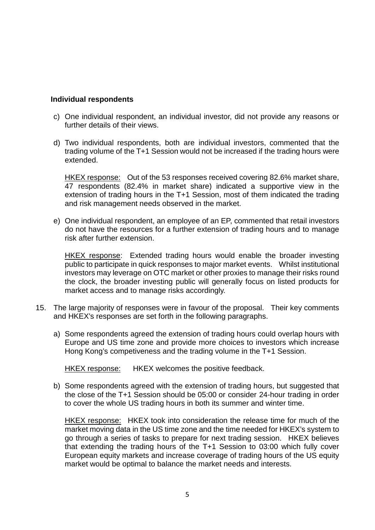#### **Individual respondents**

- c) One individual respondent, an individual investor, did not provide any reasons or further details of their views.
- d) Two individual respondents, both are individual investors, commented that the trading volume of the T+1 Session would not be increased if the trading hours were extended.

HKEX response: Out of the 53 responses received covering 82.6% market share, 47 respondents (82.4% in market share) indicated a supportive view in the extension of trading hours in the T+1 Session, most of them indicated the trading and risk management needs observed in the market.

e) One individual respondent, an employee of an EP, commented that retail investors do not have the resources for a further extension of trading hours and to manage risk after further extension.

HKEX response: Extended trading hours would enable the broader investing public to participate in quick responses to major market events. Whilst institutional investors may leverage on OTC market or other proxies to manage their risks round the clock, the broader investing public will generally focus on listed products for market access and to manage risks accordingly.

- 15. The large majority of responses were in favour of the proposal. Their key comments and HKEX's responses are set forth in the following paragraphs.
	- a) Some respondents agreed the extension of trading hours could overlap hours with Europe and US time zone and provide more choices to investors which increase Hong Kong's competiveness and the trading volume in the T+1 Session.

HKEX response: HKEX welcomes the positive feedback.

b) Some respondents agreed with the extension of trading hours, but suggested that the close of the T+1 Session should be 05:00 or consider 24-hour trading in order to cover the whole US trading hours in both its summer and winter time.

HKEX response: HKEX took into consideration the release time for much of the market moving data in the US time zone and the time needed for HKEX's system to go through a series of tasks to prepare for next trading session. HKEX believes that extending the trading hours of the T+1 Session to 03:00 which fully cover European equity markets and increase coverage of trading hours of the US equity market would be optimal to balance the market needs and interests.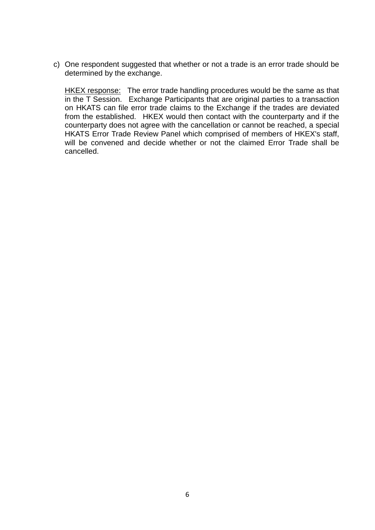c) One respondent suggested that whether or not a trade is an error trade should be determined by the exchange.

HKEX response: The error trade handling procedures would be the same as that in the T Session. Exchange Participants that are original parties to a transaction on HKATS can file error trade claims to the Exchange if the trades are deviated from the established. HKEX would then contact with the counterparty and if the counterparty does not agree with the cancellation or cannot be reached, a special HKATS Error Trade Review Panel which comprised of members of HKEX's staff, will be convened and decide whether or not the claimed Error Trade shall be cancelled.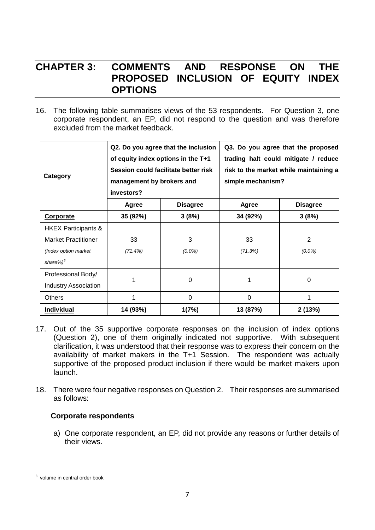### **CHAPTER 3: COMMENTS AND RESPONSE ON THE PROPOSED INCLUSION OF EQUITY INDEX OPTIONS**

16. The following table summarises views of the 53 respondents. For Question 3, one corporate respondent, an EP, did not respond to the question and was therefore excluded from the market feedback.

| Category                       | Q2. Do you agree that the inclusion<br>of equity index options in the T+1<br>Session could facilitate better risk<br>management by brokers and<br>investors? |                 | simple mechanism? | Q3. Do you agree that the proposed<br>trading halt could mitigate / reduce<br>risk to the market while maintaining a |  |
|--------------------------------|--------------------------------------------------------------------------------------------------------------------------------------------------------------|-----------------|-------------------|----------------------------------------------------------------------------------------------------------------------|--|
|                                | Agree                                                                                                                                                        | <b>Disagree</b> | Agree             | <b>Disagree</b>                                                                                                      |  |
| <b>Corporate</b>               | 35 (92%)                                                                                                                                                     | 3(8%)           | 34 (92%)          | 3(8%)                                                                                                                |  |
| <b>HKEX Participants &amp;</b> |                                                                                                                                                              |                 |                   |                                                                                                                      |  |
| <b>Market Practitioner</b>     | 33                                                                                                                                                           | 3               | 33                | 2                                                                                                                    |  |
| (Index option market           | (71.4%)                                                                                                                                                      | $(0.0\%)$       | (71.3%)           | $(0.0\%)$                                                                                                            |  |
| share% $)^3$                   |                                                                                                                                                              |                 |                   |                                                                                                                      |  |
| Professional Body/             |                                                                                                                                                              |                 |                   |                                                                                                                      |  |
| <b>Industry Association</b>    |                                                                                                                                                              | $\Omega$        | 1                 | $\Omega$                                                                                                             |  |
| <b>Others</b>                  |                                                                                                                                                              | 0               | 0                 | 1                                                                                                                    |  |
| Individual                     | 14 (93%)                                                                                                                                                     | 1(7%)           | 13 (87%)          | 2(13%)                                                                                                               |  |

- 17. Out of the 35 supportive corporate responses on the inclusion of index options (Question 2), one of them originally indicated not supportive. With subsequent clarification, it was understood that their response was to express their concern on the availability of market makers in the T+1 Session. The respondent was actually supportive of the proposed product inclusion if there would be market makers upon launch.
- 18. There were four negative responses on Question 2. Their responses are summarised as follows:

#### **Corporate respondents**

a) One corporate respondent, an EP, did not provide any reasons or further details of their views.

<span id="page-8-0"></span> $3$  volume in central order book  $\overline{\phantom{a}}$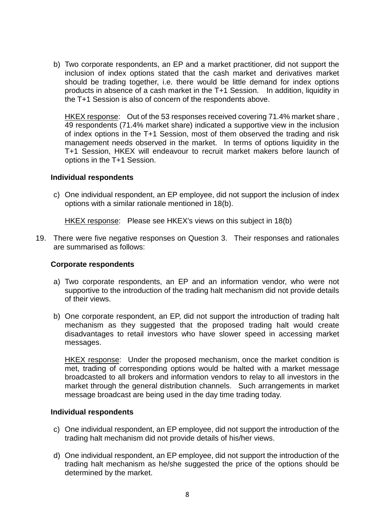b) Two corporate respondents, an EP and a market practitioner, did not support the inclusion of index options stated that the cash market and derivatives market should be trading together, i.e. there would be little demand for index options products in absence of a cash market in the T+1 Session. In addition, liquidity in the T+1 Session is also of concern of the respondents above.

HKEX response: Out of the 53 responses received covering 71.4% market share , 49 respondents (71.4% market share) indicated a supportive view in the inclusion of index options in the T+1 Session, most of them observed the trading and risk management needs observed in the market. In terms of options liquidity in the T+1 Session, HKEX will endeavour to recruit market makers before launch of options in the T+1 Session.

#### **Individual respondents**

c) One individual respondent, an EP employee, did not support the inclusion of index options with a similar rationale mentioned in 18(b).

HKEX response: Please see HKEX's views on this subject in 18(b)

19. There were five negative responses on Question 3. Their responses and rationales are summarised as follows:

#### **Corporate respondents**

- a) Two corporate respondents, an EP and an information vendor, who were not supportive to the introduction of the trading halt mechanism did not provide details of their views.
- b) One corporate respondent, an EP, did not support the introduction of trading halt mechanism as they suggested that the proposed trading halt would create disadvantages to retail investors who have slower speed in accessing market messages.

HKEX response: Under the proposed mechanism, once the market condition is met, trading of corresponding options would be halted with a market message broadcasted to all brokers and information vendors to relay to all investors in the market through the general distribution channels. Such arrangements in market message broadcast are being used in the day time trading today.

#### **Individual respondents**

- c) One individual respondent, an EP employee, did not support the introduction of the trading halt mechanism did not provide details of his/her views.
- d) One individual respondent, an EP employee, did not support the introduction of the trading halt mechanism as he/she suggested the price of the options should be determined by the market.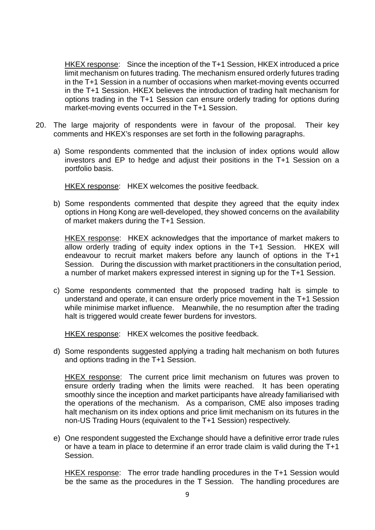HKEX response: Since the inception of the T+1 Session, HKEX introduced a price limit mechanism on futures trading. The mechanism ensured orderly futures trading in the T+1 Session in a number of occasions when market-moving events occurred in the T+1 Session. HKEX believes the introduction of trading halt mechanism for options trading in the T+1 Session can ensure orderly trading for options during market-moving events occurred in the T+1 Session.

- 20. The large majority of respondents were in favour of the proposal. Their key comments and HKEX's responses are set forth in the following paragraphs.
	- a) Some respondents commented that the inclusion of index options would allow investors and EP to hedge and adjust their positions in the T+1 Session on a portfolio basis.

HKEX response: HKEX welcomes the positive feedback.

b) Some respondents commented that despite they agreed that the equity index options in Hong Kong are well-developed, they showed concerns on the availability of market makers during the T+1 Session.

HKEX response: HKEX acknowledges that the importance of market makers to allow orderly trading of equity index options in the T+1 Session. HKEX will endeavour to recruit market makers before any launch of options in the T+1 Session. During the discussion with market practitioners in the consultation period, a number of market makers expressed interest in signing up for the T+1 Session.

c) Some respondents commented that the proposed trading halt is simple to understand and operate, it can ensure orderly price movement in the T+1 Session while minimise market influence. Meanwhile, the no resumption after the trading halt is triggered would create fewer burdens for investors.

HKEX response: HKEX welcomes the positive feedback.

d) Some respondents suggested applying a trading halt mechanism on both futures and options trading in the T+1 Session.

HKEX response: The current price limit mechanism on futures was proven to ensure orderly trading when the limits were reached. It has been operating smoothly since the inception and market participants have already familiarised with the operations of the mechanism. As a comparison, CME also imposes trading halt mechanism on its index options and price limit mechanism on its futures in the non-US Trading Hours (equivalent to the T+1 Session) respectively.

e) One respondent suggested the Exchange should have a definitive error trade rules or have a team in place to determine if an error trade claim is valid during the T+1 Session.

HKEX response: The error trade handling procedures in the T+1 Session would be the same as the procedures in the T Session. The handling procedures are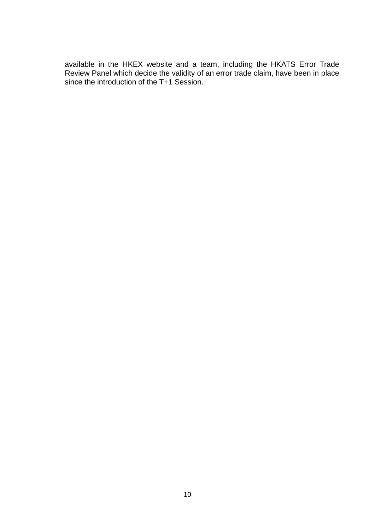available in the HKEX website and a team, including the HKATS Error Trade Review Panel which decide the validity of an error trade claim, have been in place since the introduction of the T+1 Session.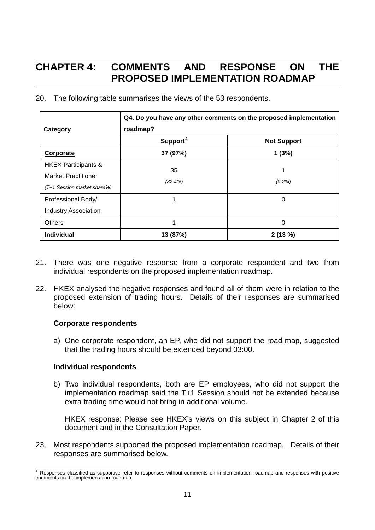## **CHAPTER 4: COMMENTS AND RESPONSE ON THE PROPOSED IMPLEMENTATION ROADMAP**

20. The following table summarises the views of the 53 respondents.

| Category                                                                                    | Q4. Do you have any other comments on the proposed implementation<br>roadmap? |                    |  |
|---------------------------------------------------------------------------------------------|-------------------------------------------------------------------------------|--------------------|--|
|                                                                                             | Support <sup>4</sup>                                                          | <b>Not Support</b> |  |
| <b>Corporate</b>                                                                            | 37 (97%)                                                                      | 1(3%)              |  |
| <b>HKEX Participants &amp;</b><br><b>Market Practitioner</b><br>(T+1 Session market share%) | 35<br>$(82.4\%)$                                                              | (0.2%)             |  |
| Professional Body/<br><b>Industry Association</b>                                           |                                                                               | 0                  |  |
| <b>Others</b>                                                                               |                                                                               | 0                  |  |
| Individual                                                                                  | 13 (87%)                                                                      | 2(13%)             |  |

- 21. There was one negative response from a corporate respondent and two from individual respondents on the proposed implementation roadmap.
- 22. HKEX analysed the negative responses and found all of them were in relation to the proposed extension of trading hours. Details of their responses are summarised below:

#### **Corporate respondents**

a) One corporate respondent, an EP, who did not support the road map, suggested that the trading hours should be extended beyond 03:00.

#### **Individual respondents**

b) Two individual respondents, both are EP employees, who did not support the implementation roadmap said the T+1 Session should not be extended because extra trading time would not bring in additional volume.

HKEX response: Please see HKEX's views on this subject in Chapter 2 of this document and in the Consultation Paper.

23. Most respondents supported the proposed implementation roadmap. Details of their responses are summarised below.

<span id="page-12-0"></span>Responses classified as supportive refer to responses without comments on implementation roadmap and responses with positive comments on the implementation roadmap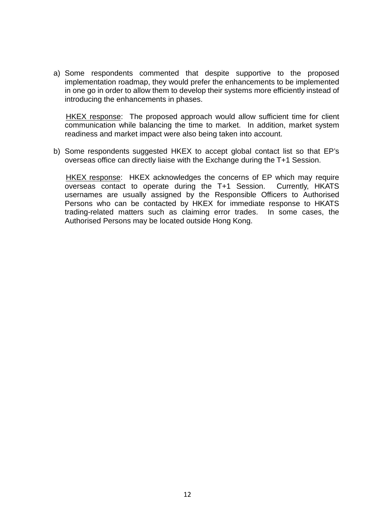a) Some respondents commented that despite supportive to the proposed implementation roadmap, they would prefer the enhancements to be implemented in one go in order to allow them to develop their systems more efficiently instead of introducing the enhancements in phases.

HKEX response: The proposed approach would allow sufficient time for client communication while balancing the time to market. In addition, market system readiness and market impact were also being taken into account.

b) Some respondents suggested HKEX to accept global contact list so that EP's overseas office can directly liaise with the Exchange during the T+1 Session.

HKEX response: HKEX acknowledges the concerns of EP which may require overseas contact to operate during the T+1 Session. Currently, HKATS usernames are usually assigned by the Responsible Officers to Authorised Persons who can be contacted by HKEX for immediate response to HKATS trading-related matters such as claiming error trades. In some cases, the Authorised Persons may be located outside Hong Kong.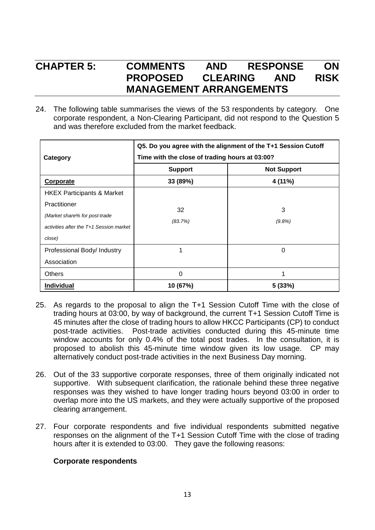### **CHAPTER 5: COMMENTS AND RESPONSE ON PROPOSED CLEARING AND RISK MANAGEMENT ARRANGEMENTS**

24. The following table summarises the views of the 53 respondents by category. One corporate respondent, a Non-Clearing Participant, did not respond to the Question 5 and was therefore excluded from the market feedback.

|                                         | Q5. Do you agree with the alignment of the T+1 Session Cutoff |                    |  |
|-----------------------------------------|---------------------------------------------------------------|--------------------|--|
| Category                                | Time with the close of trading hours at 03:00?                |                    |  |
|                                         | <b>Support</b>                                                | <b>Not Support</b> |  |
| <b>Corporate</b>                        | 33 (89%)                                                      | 4 (11%)            |  |
| <b>HKEX Participants &amp; Market</b>   |                                                               |                    |  |
| Practitioner                            |                                                               | 3                  |  |
| (Market share% for post-trade           | 32<br>(83.7%)                                                 |                    |  |
| activities after the T+1 Session market |                                                               | $(9.8\%)$          |  |
| close)                                  |                                                               |                    |  |
| Professional Body/ Industry             | 1                                                             | 0                  |  |
| Association                             |                                                               |                    |  |
| <b>Others</b>                           | $\Omega$                                                      | 1                  |  |
| Individual                              | 10 (67%)                                                      | 5(33%)             |  |

- 25. As regards to the proposal to align the T+1 Session Cutoff Time with the close of trading hours at 03:00, by way of background, the current T+1 Session Cutoff Time is 45 minutes after the close of trading hours to allow HKCC Participants (CP) to conduct post-trade activities. Post-trade activities conducted during this 45-minute time window accounts for only 0.4% of the total post trades. In the consultation, it is proposed to abolish this 45-minute time window given its low usage. CP may alternatively conduct post-trade activities in the next Business Day morning.
- 26. Out of the 33 supportive corporate responses, three of them originally indicated not supportive. With subsequent clarification, the rationale behind these three negative responses was they wished to have longer trading hours beyond 03:00 in order to overlap more into the US markets, and they were actually supportive of the proposed clearing arrangement.
- 27. Four corporate respondents and five individual respondents submitted negative responses on the alignment of the T+1 Session Cutoff Time with the close of trading hours after it is extended to 03:00. They gave the following reasons:

#### **Corporate respondents**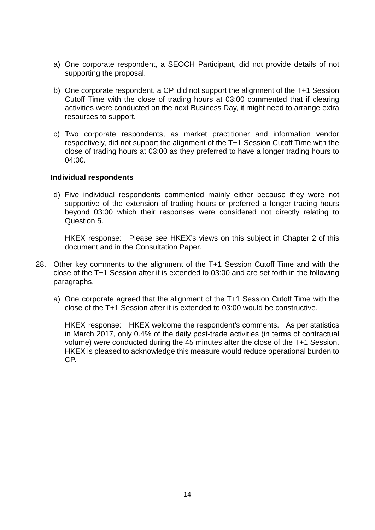- a) One corporate respondent, a SEOCH Participant, did not provide details of not supporting the proposal.
- b) One corporate respondent, a CP, did not support the alignment of the T+1 Session Cutoff Time with the close of trading hours at 03:00 commented that if clearing activities were conducted on the next Business Day, it might need to arrange extra resources to support.
- c) Two corporate respondents, as market practitioner and information vendor respectively, did not support the alignment of the T+1 Session Cutoff Time with the close of trading hours at 03:00 as they preferred to have a longer trading hours to 04:00.

#### **Individual respondents**

d) Five individual respondents commented mainly either because they were not supportive of the extension of trading hours or preferred a longer trading hours beyond 03:00 which their responses were considered not directly relating to Question 5.

HKEX response: Please see HKEX's views on this subject in Chapter 2 of this document and in the Consultation Paper.

- 28. Other key comments to the alignment of the T+1 Session Cutoff Time and with the close of the T+1 Session after it is extended to 03:00 and are set forth in the following paragraphs.
	- a) One corporate agreed that the alignment of the T+1 Session Cutoff Time with the close of the T+1 Session after it is extended to 03:00 would be constructive.

HKEX response: HKEX welcome the respondent's comments. As per statistics in March 2017, only 0.4% of the daily post-trade activities (in terms of contractual volume) were conducted during the 45 minutes after the close of the T+1 Session. HKEX is pleased to acknowledge this measure would reduce operational burden to CP.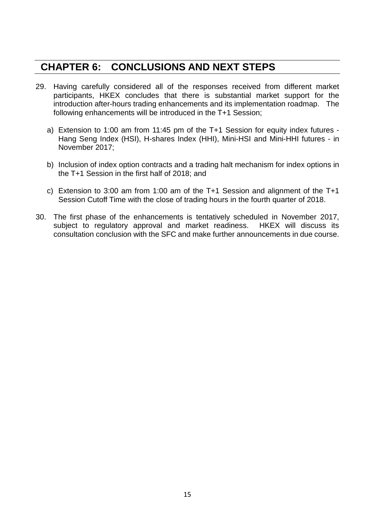### **CHAPTER 6: CONCLUSIONS AND NEXT STEPS**

- 29. Having carefully considered all of the responses received from different market participants, HKEX concludes that there is substantial market support for the introduction after-hours trading enhancements and its implementation roadmap. The following enhancements will be introduced in the T+1 Session;
	- a) Extension to 1:00 am from 11:45 pm of the T+1 Session for equity index futures Hang Seng Index (HSI), H-shares Index (HHI), Mini-HSI and Mini-HHI futures - in November 2017;
	- b) Inclusion of index option contracts and a trading halt mechanism for index options in the T+1 Session in the first half of 2018; and
	- c) Extension to 3:00 am from 1:00 am of the T+1 Session and alignment of the T+1 Session Cutoff Time with the close of trading hours in the fourth quarter of 2018.
- 30. The first phase of the enhancements is tentatively scheduled in November 2017, subject to regulatory approval and market readiness. HKEX will discuss its consultation conclusion with the SFC and make further announcements in due course.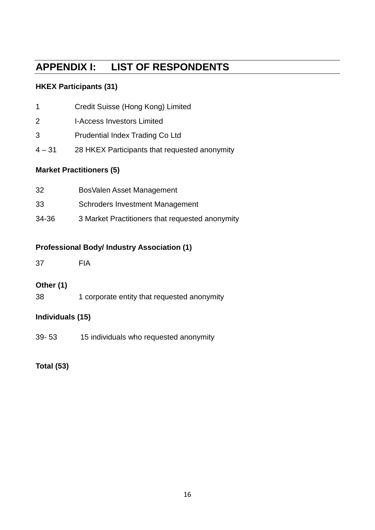## **APPENDIX I: LIST OF RESPONDENTS**

### **HKEX Participants (31)**

| <b>Market Practitioners (5)</b> |                                               |  |
|---------------------------------|-----------------------------------------------|--|
| $4 - 31$                        | 28 HKEX Participants that requested anonymity |  |
| 3                               | Prudential Index Trading Co Ltd               |  |
| 2                               | <b>I-Access Investors Limited</b>             |  |
| $\mathbf 1$                     | Credit Suisse (Hong Kong) Limited             |  |

| 32    | BosValen Asset Management                       |
|-------|-------------------------------------------------|
| 33    | <b>Schroders Investment Management</b>          |
| 34-36 | 3 Market Practitioners that requested anonymity |

### **Professional Body/ Industry Association (1)**

37 FIA

### **Other (1)**

38 1 corporate entity that requested anonymity

### **Individuals (15)**

39- 53 15 individuals who requested anonymity

### **Total (53)**